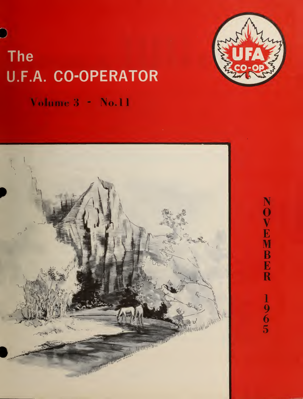# The U.F.A. CO-OPERATOR





NOVEMB<br> **NOVEMB**<br> **ER**  $\frac{1}{9}$ <sub>6</sub>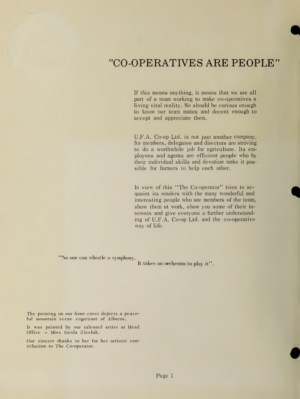## "CO-OPERATIVES ARE PEOPLE

If this means anything, it means that we are all part of a team working to make co-operatives a living vital reality. We should be curious enough to know our team mates and decent enough to accept and appreciate them.

U.F.A. Co-op Ltd. is not just another company. Its members, delegates and directors are striving to do a worthwhile job for agriculture. Its employees and agents are efficient people who by their individual skills and devotion make it possible for farmers to help each other.

In view of this "The Co-operator" tries to ac quaint its readers with the many wonderful and interesting people who are members of the team, show them at work, show you some of their in terests and give everyone a further understanding of U.F.A. Co-op Ltd. and the co-operative way of life.

No one can whistle a symphony.

It takes an orchestra to play it".

The painting on our front cover depicts a peace' ful mountain scene cognizant of Alberta.

It was painted by our talented artist at Head Office — Miss Gerda Zieslak.

Our sincere thanks to her for her artistic contribution to The Co-operator.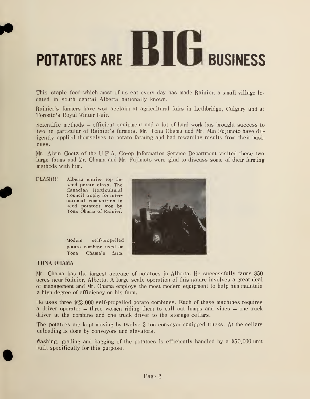# POTATOES ARE **BIG BUSINESS**

This staple food which most of us eat every day has made Rainier, a small village lo cated in south central Alberta nationally known.

Rainier's farmers have won acclaim at agricultural fairs in Lethbridge, Calgary and at Toronto's Royal Winter Fair.

Scientific methods — efficient equipment and <sup>a</sup> lot of hard work has brought success to two in particular of Rainier's farmers. Mr. Tona Ohama and Mr. Min Fujimoto have diligently applied themselves to potato farming and had rewarding results from their busi ness.

Mr. Alvin Goetz of the U.F.A. Co-op Information Service Department visited these two large farms and Mr. Ohama and Mr. Fujimoto were glad to discuss some of their farming methods with him.

FLASH!!! Alberta entries top the seed potato class. The Canadian Horticultural Council trophy for inter national competition in seed potatoes won by Tona Ohama of Rainier.



Modern self-propelled potato combine used on Tona Ohama's farm.

#### TONA OHAMA

Mr. Ohama has the largest acreage of potatoes in Alberta. He successfully farms 850 acres near Rainier, Alberta. A large scale operation of this nature involves a great deal of management and Mr. Ohama employs the most modern equipment to help him maintain a high degree of efficiency on his farm.

He uses three \$23,000 self-propelled potato combines. Each of these machines requires <sup>a</sup> driver operator — three women riding them to cull out lumps and vines — one truck driver at the combine and one truck driver to the storage cellars.

The potatoes are kept moving by twelve 3 ton conveyor equipped trucks. At the cellars unloading is done by conveyors and elevators.

Washing, grading and bagging of the potatoes is efficiently handled by a \$50,000 unit built specifically for this purpose.

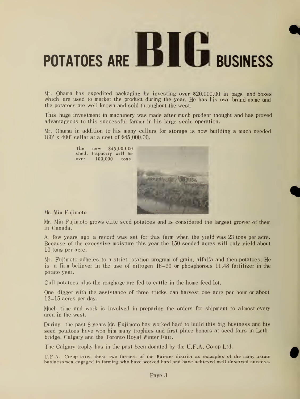# POTATOES ARE **BIG BUSINESS**

Mr. Ohama has expedited packaging by investing over \$20,000.00 in bags and boxes which are used to market the product during the year. He has his own brand name and the potatoes are well known and sold throughout the west.

This huge investment in machinery was made after much prudent thought and has proved advantageous to this successful farmer in his large scale operation.

Mr. Ohama in addition to his many cellars for storage is now building <sup>a</sup> much needed 160' x 400' cellar at a cost of \$45,000.00.



Mr. Min Fujimoto

Mr. Min Fujimoto grows elite seed potatoes and is considered the largest grower of them in Canada.

A few years ago a record was set for this farm when the yield was 23 tons per acre. Because of the excessive moisture this year the 150 seeded acres will only yield about 10 tons per acre.

Mr. Fujimoto adheres to a strict rotation program of grain, alfalfa and then potatoes. He is a firm believer in the use of nitrogen 16—20 or phosphorous 11.48 fertilizer in the potato year.

Cull potatoes plus the roughage are fed to cattle in the home feed lot.

One digger with the assistance of three trucks can harvest one acre per hour or about 12—15 acres per day.

Much time and work is involved in preparing the orders for shipment to almost every area in the west.

During the past 8 years Mr. Fujimoto has worked hard to build this big business and his seed potatoes have won him many trophies and first place honors at seed fairs in Lethbridge, Calgary and the Toronto Royal Winter Fair.

The Calgary trophy has in the past been donated by the U.F.A. Co-op Ltd.

U.F.A. Co-op cites these two farmers of the Rainier district as examples of the many astute businessmen engaged in farming who have worked hard and have achieved well deserved success.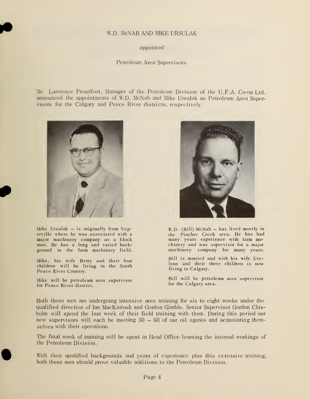#### W.D. McNAB AND MIKE URSULAK

appointed

#### Petroleum Area Supervisors

Mr. Lawrence Proudfoot, Manager of the Petroleum Division of the U.F.A. Co-op Ltd. announced the appointments of W.D. McNab and Mike Ursulak as Petroleum Area Supervisors for the Calgary and Peace River districts, respectively.



Mike Ursulak  $-$  is originally from Vegreville where he was associated with a major machinery company as a block man. He has a long and varied background in the farm machinery field.

Mike, his wife Betty and their four children will be living in the North Peace River Country.

Mike will be petroleum area supervisor for Peace River district.



 $W.D.$  (Bill) McNab - has lived mostly in the Pincher Creek area. He has had many years experience with farm machinery and was supervisor for a major machinery company for many years.

Bill is married and with his wife Evelynn and their three children is now living in Calgary.

Bill will be petroleum area supervisor for the Calgary area.

Both these men are undergoing intensive area training for six to eight weeks under the qualified direction of Ian MacKintosh and Gordon Gimble. Senior Supervisor Gordon Chisholm will spend the last week of their field training with them. During this period our new supervisors will each be meeting 50 — 60 of our oil agents and acquainting themselves with their operations.

The final week of training will be spent in Head Office learning the internal workings of the Petroleum Division.

With their qualified backgrounds and years of experience plus this extensive training, both these men should prove valuable additions to the Petroleum Division.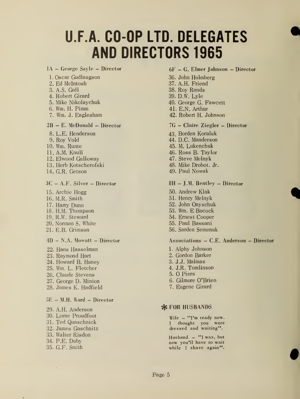## U.F.A. CO-OP LTD. DELEGATES AND DIRECTORS 1965

- 1. Oscar Gudlaugson and a state of the 36. John Holmberg
- 2. Ed McIntosh
- 
- 4. Robert Girard
- 5. Mike Nikolaychuk
- 6. Wm. H. Pimm 41. E.N. Arthur
- 

- 
- 
- 
- 
- 12. Elwood Galloway 47. Steve Melnyk
- 13. Herb Kotscherofski 48. Mike Drobot. Jr.
- 

- 
- 
- 
- 18. H.M. Thompson
- 19. R.W. Steward 54. Ernest Cooper
- 20. Norman S. White 55. Paul Bassani
- 
- 
- 
- 22. Hans Hasselman 1. Alphy Johnson 23. Raymond Hart 1. Alphy Johnson 2. Gordon Barker 23. Raymond Hart
- 
- 24. Howard B. Haney 25. J.J. Malmas<br>25. Wm. L. Fletcher 25. Malmas 25. Wm. L. Fletcher
- 25. Wm. L. Fletcher 4. J.R. Tom<br>26. Claude Stevens 5. O Piers
- 26. Claude Stevens 5. O Piers<br>27. George D. Minion 6. Gilmore O'Brien
- 27. George D. Minion 6. Gilmore Brien 28. James K. Hadfield
- $5E M.H.$  Ward  $-$  Director
- 30. Lorne Proudfoot<br>
31. Ted Quaschnick<br>
31. Ted Quaschnick<br>
University of the University of the Wife "I'm ready now. 33. Walter Risdon<br>
34. P.E. Duby<br>
34. P.E. Duby

ù,

#### $1A - George Sayle - Director$  6F – G. Elmer Johnson – Director

- 
- 37. A.H. Friend
- 3. A.S. Gall 38. Roy Rands
	- 39. D.W. Lyle
	- 40. George G. Fawcett
	-
- 7. Wm. J. Eaglesham 42. Robert H. Johnson

#### 2B - E. McDonald - Director 7G — Claire Ziegler — Director

- 8. L.E. Henderson 43. Borden Koraluk
- 9. Roy Void 44. D.C. Manderson
- 10. Wm. Runte 45. M. Lukenchuk
- 11. A.M. Knull 46. Ross B. Taylor
	-
	-
- 14. G.R. Getson 49. Paul Nowak

#### 3C - A.F. Silver - Director 8H - J.M. Bentley - Director

- 15. Archie Hogg 50. Andrew Klak
- 16. M.R. Smith 51. Henry Melnyk
- 17. Harry Dunn 52. John Onyschuk<br>18. H.M. Thompson 53. Wm. E Bocock
	-
	-
	-
- 21. E.B. Grimson 56. Sarden Semenuk

#### 4D - N.A. Mowatt - Director Associations — C.E. Anderson — Director

- 
- 
- 
- 
- 
- 
- 

#### 29. A.H. Anderson **\*FOR HUSBANDS**

I thought you were 32. James Gaschnitz dressed and waiting".

34. P.E. Duby<br>35. G.F. Smith  $\begin{array}{ccc}\n\bullet & \bullet & \bullet \\
\bullet & \bullet & \bullet\n\end{array}$  now you'll have to wait while I shave again".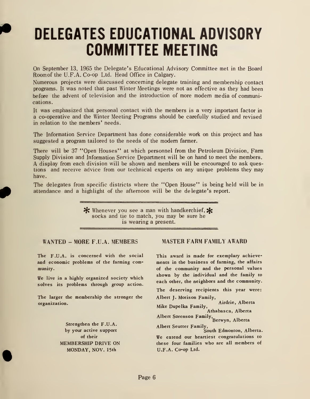## DELEGATES EDUCATIONAL ADVISORY COMMITTEE MEETING

On September 13, 1965 the Delegate's Educational Advisory Committee met in the Board Roomof the U.F.A. Co-op Ltd. Head Office in Calgary.

Numerous projects were discussed concerning delegate training and membership contact programs. It was noted that past Winter Meetings were not as effective as they had been before the advent of television and the introduction of more modern media of communications.

It was emphasized that personal contact with the members is a very important factor in a co-operative and the Winter Meeting Programs should be carefully studied and revised in relation to the members' needs.

The Information Service Department has done considerable work on this project and has suggested a program tailored to the needs of the modern farmer.

There will be 37 "Open Houses" at which personnel from the Petroleum Division, Farm Supply Division and Information Service Department will be on hand to meet the members. A display from each division will be shown and members will be encouraged to ask questions and receive advice from our technical experts on any unique problems they may have.

The delegates from specific districts where the "Open House" is being held will be in attendance and a highlight of the afternoon will be the delegate's report.

> $*$  Whenever you see a man with handkerchief,  $*$ socks and tie to match, you may be sure he is wearing a present.

WANTED - MORE F.U.A. MEMBERS MASTER FARM FAMILY AWARD

The F.U.A. is concerned with the social and economic problems of the farming community.

We live in a highly organized society which solves its problems through group action.

The larger the membership the stronger the organization.

> Strengthen the F.U.A. by your active support MEMBERSHIP DRIVE ON these four families<br>MONDAY, NOV. 15th U.F.A. Co-op Ltd. MONDAY, NOV. 15th

This award is made for exemplary achievements in the business of farming, the affairs of the community and the personal values shown by the individual and the family to each other, the neighbors and the community. The deserving recipients this year were: Albert J. Morison Family,<br>Mike Dupelka Family,<br>Athabasca, Alberta Albert Sorenson Family,<br>Berwyn, Alberta then the F.U.A.<br>
r active support<br>
of their We extend our heartiest congratulations to<br>
The extend our heartiest congratulations to

these four families who are all members of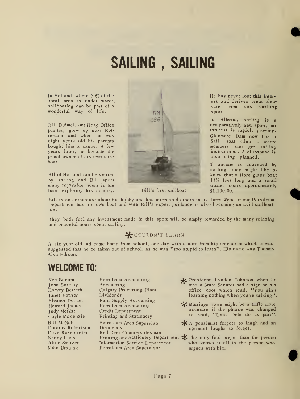## SAILING , SAILING

In Holland, where 60% of the total area is under water, sailboating can be part of a wonderful way of life.

Bill Duimel, our Head Office printer, grew up near Rot terdam and when he was eight years old his parents bought him a canoe. A few years later, he became the proud owner of his own sail boat.

All of Holland can be visited by sailing and Bill spent many enjoyable hours in his boat exploring his country. Bill's first sailboat



He has never lost this inter est and derives great plea sure from this thrilling sport.

In Alberta, sailing is a comparatively new sport, but interest is rapidly growing. Glenmore Dam now has a Sail Boat Club - where members can get sailing instructions. A clubhouse is also being planned.

If anyone is intrigued by sailing, they might like to know that a fibre glass boat 13<sup>1</sup>/<sub>2</sub> feet long and a small trailer costs approximately \$1,100.00.

Bill is an enthusiast about his hobby and has interested others in it. Harry Wood of our Petroleum Department has his own boat and with Bill's expert guidance is also becoming an avid sailboat fan.

They both feel any investment made in this sport will be amply rewarded by the many relaxing and peaceful hours spent sailing.

#### **X** COULDN'T LEARN

A six year old lad came home from school, one day with <sup>a</sup> note from his teacher in which it was suggested that he be taken out of school, as he was "too stupid to learn". His name was Thomas Alva Edison.

## WELCOME TO:

Ken Bachiu John Barclay Harvey Berreth Janet Bowren Eleanor Dormer Howard Jaques Judy McGirr Gayle McKenzie Bill McNab Dorothy Robertson Dave Rosentreter Nancy Ross Alice Switzer Mike Ursulak

Petroleum Accounting Accounting Calgary Precutting Plant Dividends Farm Supply Accounting Petroleum Accounting Credit Department Printing and Stationery Petroleum Area Supervisor Dividends Red Deer Countersalesman Information Service Department Petroleum Area Supervisor

- President Lyndon Johnson when he was a State Senator had a sign on his office door which read, "You ain't learning nothing when you're talking".
- **X** Marriage vows might be a trifle more accurate if the phrase was changed to read, "Until Debt do us part".
- $\angle$  A pessimist forgets to laugh and an optimist laughs to forget.
- Printing and Stationery Department  $\mathbf{\divideontimes}$  The only fool bigger than the person who knows it all is the person who argues with him.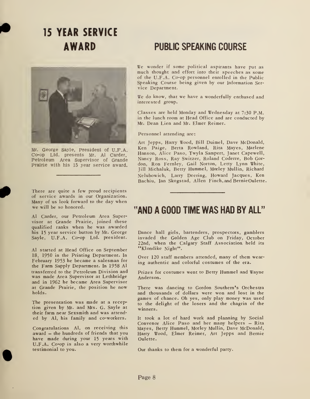# 15 YEAR SERVICE



Mr. George Sayle, President of U.F.A. Co-op Ltd. presents Mr. Al Carder, Petroleum Area Supervisor of Grande Prairie with his 15 year service award.

There are quite a few proud recipients of service awards in our Organization. Many of us look forward to the day when we will be so honored.

Al Carder, our Petroleum Area Supervisor at Grande Prairie, joined these qualified ranks when he was awarded his 15 year service button by Mr. George Sayle, U.F.A. Co-op Ltd. president.

Al started at Head Office on September 18, 1950 in the Printing Department. In February 1953 be became a salesman for the Farm Supply Department. In 1958 Al transferred to the Petroleum Division and was made Area Supervisor at Lethbridge and in 1962 he became Area Supervisor at Grande Prairie, the position he now holds.

The presentation was made at a reception given by Mr. and Mrs. G. Sayle at their farm near Sexsmith and was attend ed by Al, his family and co-workers.

Congratulations Al, on receiving this award — the hundreds of friends that you have made during your 15 years with U.F.A. Co-op is also a very worthwhile testimonial to you.

### AWARD PUBLIC SPEAKING COURSE

We wonder if some political aspirants have put as much thought and effort into their speeches as some of the U.F.A. Co-op personnel enrolled in the Public Speaking Course being given by our Information Ser vice Department.

We do know, that we have a wonderfully enthused and interested group.

Classes are held Monday and Wednesday at 7:30 P.M. in the lunch room at Head Office and are conducted by Mr. Dean Lien and Mr. Elmer Reimer.

Personnel attending are:

Art Jepps, Harry Wood, Bill Duimel, Dave McDonald, Ken Paige, Berta Rowland, Rita Mayes, Marlene Hanson, Alice Paso, Twyla Sampert, Janet Capewell, Nancy Ross, Ray Switzer, Roland Coderre, Bob Gordon, Ron Fernley, Gail Norton, Letty Lynn White, Jill Michaluk, Betty Hummel, Motley Mullin, Richard Nelubowich, Larry Deering, Howard Jacques, Ken Bachiu, Ian Skogstad, Allen Finch, and BernieOulette

#### "AND A GOOD TIME WAS HAD BY ALL"

Dance hall girls, bartenders, prospectors, gamblers invaded the Golden Age Club on Friday, October 22nd, when the Calgary Staff Association held its "Klondike Night".

Over 120 staff members attended, many of them wearing authentic and colorful costumes of the era.

Prizes for costumes went to Betty Hummel and Wayne Anderson.

There was dancing to Gordon Southern's Orchestra and thousands of dollars were won and lost in the games of chance. Oh yes, only play money was used to the delight of the losers and the chagrin of the winners.

It took a lot of hard work and planning by Social Convenor Alice Paso and her many helpers — Rita Mayes, Betty Hummel, Morley Mullin, Dave McDonald, Harry Wood, Elmer Reimer, Art Jepps and Bernie Oulette.

Our thanks to them for a wonderful party.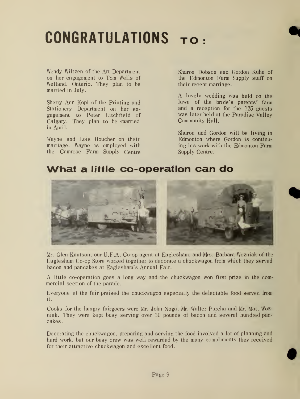## CONGRATULATIONS TO:

Wendy Wiltzen of the Art Department on her engagement to Tom Wells of Welland, Ontario. They plan to be married in July.

Sherry Ann Kopi of the Printing and Stationery Department on her en gagement to Peter Litchfield of Calgary. They plan to be married in April.

Wayne and Lois Houcher on their marriage. Wayne is employed with the Camrose Farm Supply Centre Sharon Dobson and Gordon Kuhn of the Edmonton Farm Supply staff on their recent marriage.

A lovely wedding was held on the lawn of the bride's parents' farm and a reception for the 125 guests was later held at the Paradise Valley Community Hall.

Sharon and Gordon will be living in Edmonton where Gordon is continuing his work with the Edmonton Farm Supply Centre.

#### What a little co-operation can do



Mr. Glen Knutson, our U.F.A. Co-op agent at Eaglesham, and Mrs. Barbara Wozniak of the Eaglesham Co-op Store worked together to decorate a chuckwagon from which they served bacon and pancakes at Eaglesham's Annual Fair.

A little co-operation goes a long way and the chuckwagon won first prize in the commercial section of the parade.

Everyone at the fair praised the chuckwagon especially the delectable food served from it.

Cooks for the hungry fairgoers were Mr. John Noga, Mr. Walter Purcha and Mr. Matt Wozniak. They were kept busy serving over 30 pounds of bacon and several hundred pancakes.

Decorating the chuckwagon, preparing and serving the food involved a lot of planning and hard work, but our busy crew was well rewarded by the many compliments they received for their attractive chuckwagon and excellent food.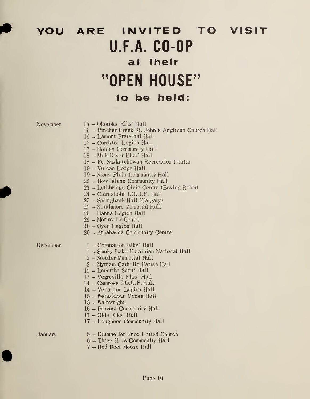## YOU ARE INVITED TO VISIT U.F.A. CO-OP at their "OPEN HOUSE" to be held:

| November | 15 - Okotoks Elks' Hall<br>16 - Pincher Creek St. John's Anglican Church Hall<br>16 - Lamont Fraternal Hall<br>17 - Cardston Legion Hall<br>17 - Holden Community Hall<br>18 - Milk River Elks' Hall<br>18 - Ft. Saskatchewan Recreation Centre<br>19 - Vulcan Lodge Hall<br>19 - Stony Plain Community Hall<br>22 - Bow Island Community Hall<br>23 – Lethbridge Civic Centre (Boxing Room)<br>24 - Claresholm I.O.O.F. Hall<br>25 - Springbank Hall (Calgary)<br>26 - Strathmore Memorial Hall<br>29 - Hanna Legion Hall<br>29 - Morinville Centre<br>30 - Oyen Legion Hall<br>30 - Athabasca Community Centre |
|----------|------------------------------------------------------------------------------------------------------------------------------------------------------------------------------------------------------------------------------------------------------------------------------------------------------------------------------------------------------------------------------------------------------------------------------------------------------------------------------------------------------------------------------------------------------------------------------------------------------------------|
| December | 1 - Coronation Elks' Hall<br>1 - Smoky Lake Ukrainian National Hall<br>2 - Stettler Memorial Hall<br>2 - Myrnam Catholic Parish Hall<br>13 - Lacombe Scout Hall<br>13 - Vegreville Elks' Hall<br>14 - Camrose I.O.O.F. Hall<br>14 - Vermilion Legion Hall<br>15 - Wetaskiwin Moose Hall<br>$15 -$ Wainwright<br>16 - Provost Community Hall<br>17 - Olds Elks' Hall<br>17 - Lougheed Community Hall                                                                                                                                                                                                              |
| January  | 5 - Drumheller Knox United Church<br>6 - Three Hills Community Hall<br>7 - Red Deer Moose Hall                                                                                                                                                                                                                                                                                                                                                                                                                                                                                                                   |